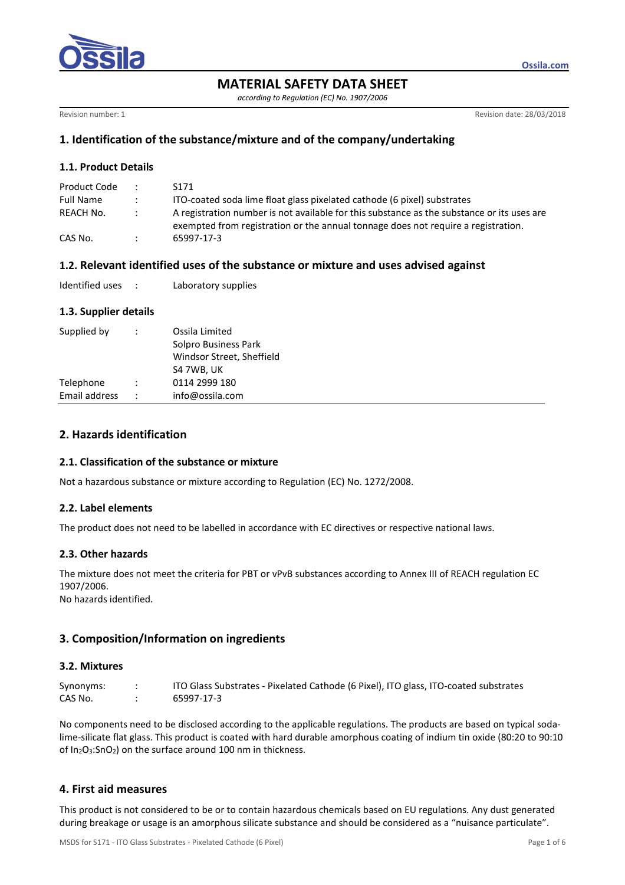

**MATERIAL SAFETY DATA SHEET** 

*according to Regulation (EC) No. 1907/2006* 

Revision number: 1 **Revision date: 28/03/2018** 

**Ossila.com**

## **1. Identification of the substance/mixture and of the company/undertaking**

#### **1.1. Product Details**

| Product Code     | $\mathcal{L}$ | S <sub>171</sub>                                                                                                                                                                |
|------------------|---------------|---------------------------------------------------------------------------------------------------------------------------------------------------------------------------------|
| <b>Full Name</b> |               | ITO-coated soda lime float glass pixelated cathode (6 pixel) substrates                                                                                                         |
| REACH No.        |               | A registration number is not available for this substance as the substance or its uses are<br>exempted from registration or the annual tonnage does not require a registration. |
| CAS No.          |               | 65997-17-3                                                                                                                                                                      |

## **1.2. Relevant identified uses of the substance or mixture and uses advised against**

| Identified uses |  | Laboratory supplies |
|-----------------|--|---------------------|
|-----------------|--|---------------------|

## **1.3. Supplier details**

| Supplied by   | Ossila Limited<br>Solpro Business Park<br>Windsor Street, Sheffield<br>S4 7WB, UK |
|---------------|-----------------------------------------------------------------------------------|
| Telephone     | 0114 2999 180                                                                     |
| Email address | info@ossila.com                                                                   |

## **2. Hazards identification**

#### **2.1. Classification of the substance or mixture**

Not a hazardous substance or mixture according to Regulation (EC) No. 1272/2008.

#### **2.2. Label elements**

The product does not need to be labelled in accordance with EC directives or respective national laws.

#### **2.3. Other hazards**

The mixture does not meet the criteria for PBT or vPvB substances according to Annex III of REACH regulation EC 1907/2006.

No hazards identified.

# **3. Composition/Information on ingredients**

## **3.2. Mixtures**

| Synonyms: | ITO Glass Substrates - Pixelated Cathode (6 Pixel), ITO glass, ITO-coated substrates |
|-----------|--------------------------------------------------------------------------------------|
| CAS No.   | 65997-17-3                                                                           |

No components need to be disclosed according to the applicable regulations. The products are based on typical sodalime-silicate flat glass. This product is coated with hard durable amorphous coating of indium tin oxide (80:20 to 90:10 of In2O3:SnO2) on the surface around 100 nm in thickness.

# **4. First aid measures**

This product is not considered to be or to contain hazardous chemicals based on EU regulations. Any dust generated during breakage or usage is an amorphous silicate substance and should be considered as a "nuisance particulate".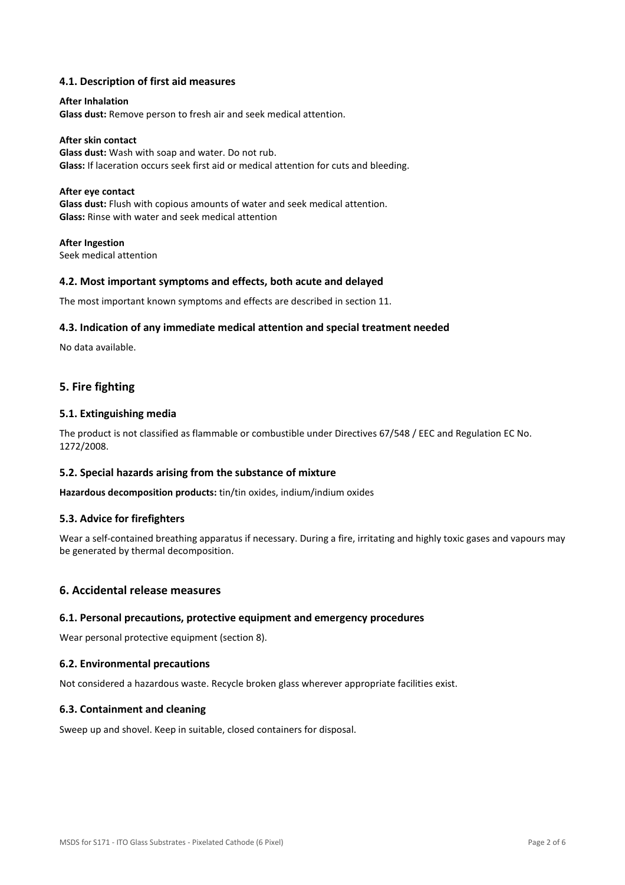### **4.1. Description of first aid measures**

## **After Inhalation Glass dust:** Remove person to fresh air and seek medical attention.

**After skin contact Glass dust:** Wash with soap and water. Do not rub. **Glass:** If laceration occurs seek first aid or medical attention for cuts and bleeding.

#### **After eye contact**

**Glass dust:** Flush with copious amounts of water and seek medical attention. **Glass:** Rinse with water and seek medical attention

**After Ingestion**  Seek medical attention

#### **4.2. Most important symptoms and effects, both acute and delayed**

The most important known symptoms and effects are described in section 11.

#### **4.3. Indication of any immediate medical attention and special treatment needed**

No data available.

### **5. Fire fighting**

#### **5.1. Extinguishing media**

The product is not classified as flammable or combustible under Directives 67/548 / EEC and Regulation EC No. 1272/2008.

#### **5.2. Special hazards arising from the substance of mixture**

**Hazardous decomposition products:** tin/tin oxides, indium/indium oxides

#### **5.3. Advice for firefighters**

Wear a self-contained breathing apparatus if necessary. During a fire, irritating and highly toxic gases and vapours may be generated by thermal decomposition.

#### **6. Accidental release measures**

#### **6.1. Personal precautions, protective equipment and emergency procedures**

Wear personal protective equipment (section 8).

#### **6.2. Environmental precautions**

Not considered a hazardous waste. Recycle broken glass wherever appropriate facilities exist.

#### **6.3. Containment and cleaning**

Sweep up and shovel. Keep in suitable, closed containers for disposal.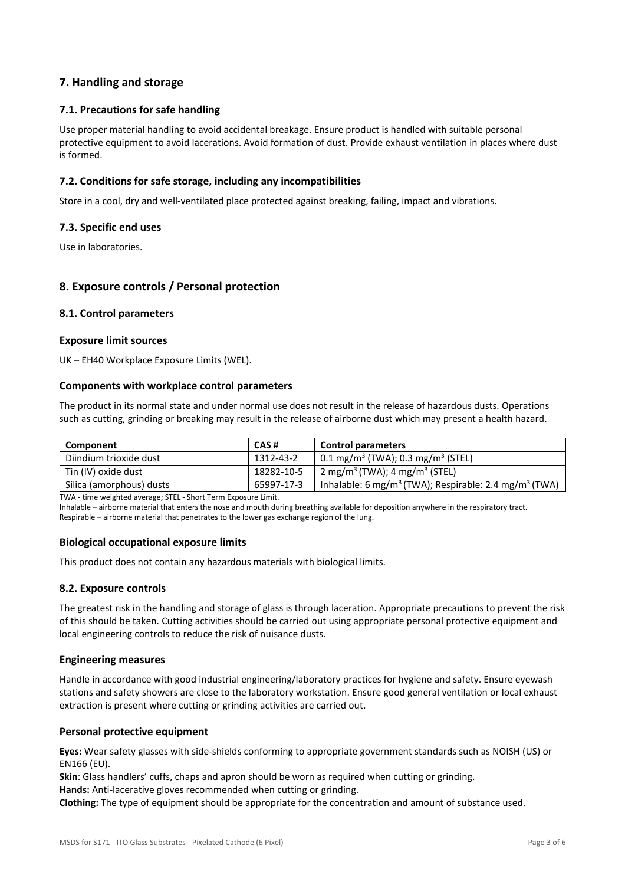## **7. Handling and storage**

### **7.1. Precautions for safe handling**

Use proper material handling to avoid accidental breakage. Ensure product is handled with suitable personal protective equipment to avoid lacerations. Avoid formation of dust. Provide exhaust ventilation in places where dust is formed.

#### **7.2. Conditions for safe storage, including any incompatibilities**

Store in a cool, dry and well-ventilated place protected against breaking, failing, impact and vibrations.

#### **7.3. Specific end uses**

Use in laboratories.

## **8. Exposure controls / Personal protection**

#### **8.1. Control parameters**

#### **Exposure limit sources**

UK – EH40 Workplace Exposure Limits (WEL).

#### **Components with workplace control parameters**

The product in its normal state and under normal use does not result in the release of hazardous dusts. Operations such as cutting, grinding or breaking may result in the release of airborne dust which may present a health hazard.

| CAS#       | <b>Control parameters</b>                                                                                                                                                                                                                                                                         |  |
|------------|---------------------------------------------------------------------------------------------------------------------------------------------------------------------------------------------------------------------------------------------------------------------------------------------------|--|
| 1312-43-2  | $\vert$ 0.1 mg/m <sup>3</sup> (TWA); 0.3 mg/m <sup>3</sup> (STEL)                                                                                                                                                                                                                                 |  |
| 18282-10-5 | 2 mg/m <sup>3</sup> (TWA); 4 mg/m <sup>3</sup> (STEL)                                                                                                                                                                                                                                             |  |
| 65997-17-3 | Inhalable: 6 mg/m <sup>3</sup> (TWA); Respirable: 2.4 mg/m <sup>3</sup> (TWA)                                                                                                                                                                                                                     |  |
|            | $\frac{1}{2}$ , and the contract of $\frac{1}{2}$ , $\frac{1}{2}$ , $\frac{1}{2}$ , $\frac{1}{2}$ , $\frac{1}{2}$ , $\frac{1}{2}$ , $\frac{1}{2}$ , $\frac{1}{2}$ , $\frac{1}{2}$ , $\frac{1}{2}$ , $\frac{1}{2}$ , $\frac{1}{2}$ , $\frac{1}{2}$ , $\frac{1}{2}$ , $\frac{1}{2}$ , $\frac{1}{2}$ |  |

TWA - time weighted average; STEL - Short Term Exposure Limit.

Inhalable – airborne material that enters the nose and mouth during breathing available for deposition anywhere in the respiratory tract. Respirable – airborne material that penetrates to the lower gas exchange region of the lung.

#### **Biological occupational exposure limits**

This product does not contain any hazardous materials with biological limits.

#### **8.2. Exposure controls**

The greatest risk in the handling and storage of glass is through laceration. Appropriate precautions to prevent the risk of this should be taken. Cutting activities should be carried out using appropriate personal protective equipment and local engineering controls to reduce the risk of nuisance dusts.

#### **Engineering measures**

Handle in accordance with good industrial engineering/laboratory practices for hygiene and safety. Ensure eyewash stations and safety showers are close to the laboratory workstation. Ensure good general ventilation or local exhaust extraction is present where cutting or grinding activities are carried out.

#### **Personal protective equipment**

**Eyes:** Wear safety glasses with side-shields conforming to appropriate government standards such as NOISH (US) or EN166 (EU).

**Skin**: Glass handlers' cuffs, chaps and apron should be worn as required when cutting or grinding.

**Hands:** Anti-lacerative gloves recommended when cutting or grinding.

**Clothing:** The type of equipment should be appropriate for the concentration and amount of substance used.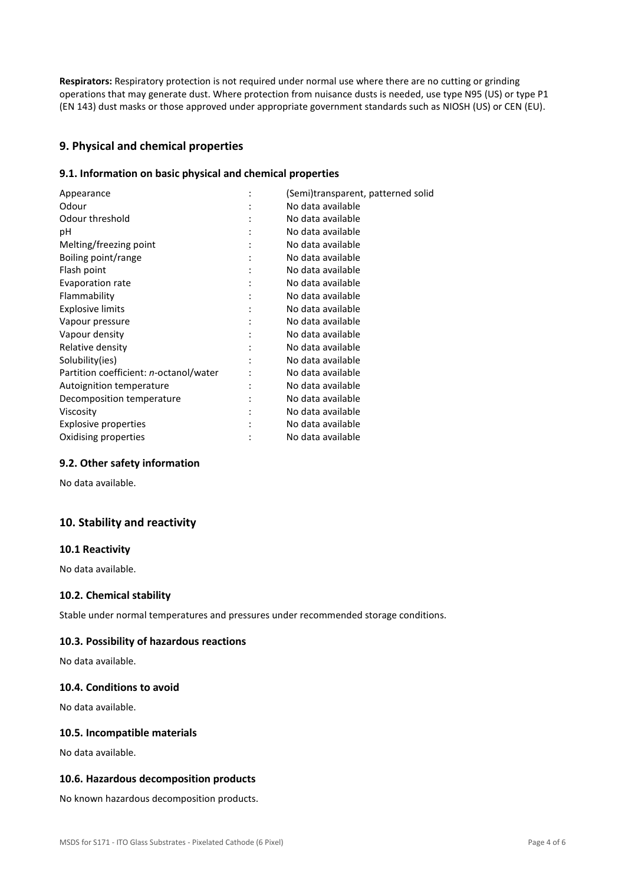**Respirators:** Respiratory protection is not required under normal use where there are no cutting or grinding operations that may generate dust. Where protection from nuisance dusts is needed, use type N95 (US) or type P1 (EN 143) dust masks or those approved under appropriate government standards such as NIOSH (US) or CEN (EU).

## **9. Physical and chemical properties**

### **9.1. Information on basic physical and chemical properties**

| (Semi)transparent, patterned solid |
|------------------------------------|
| No data available                  |
| No data available                  |
| No data available                  |
| No data available                  |
| No data available                  |
| No data available                  |
| No data available                  |
| No data available                  |
| No data available                  |
| No data available                  |
| No data available                  |
| No data available                  |
| No data available                  |
| No data available                  |
| No data available                  |
| No data available                  |
| No data available                  |
| No data available                  |
| No data available                  |
|                                    |

#### **9.2. Other safety information**

No data available.

## **10. Stability and reactivity**

#### **10.1 Reactivity**

No data available.

## **10.2. Chemical stability**

Stable under normal temperatures and pressures under recommended storage conditions.

#### **10.3. Possibility of hazardous reactions**

No data available.

#### **10.4. Conditions to avoid**

No data available.

### **10.5. Incompatible materials**

No data available.

#### **10.6. Hazardous decomposition products**

No known hazardous decomposition products.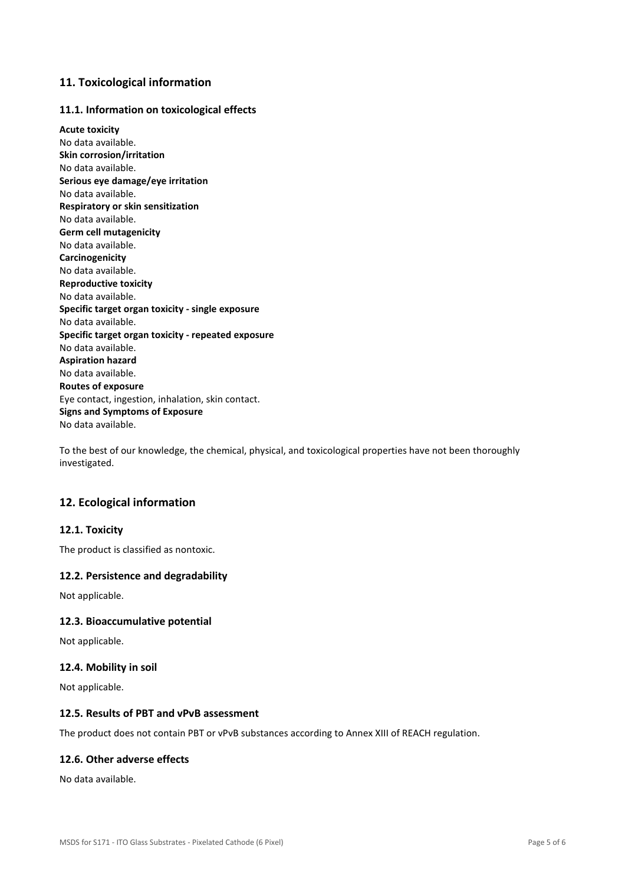## **11. Toxicological information**

### **11.1. Information on toxicological effects**

**Acute toxicity**  No data available. **Skin corrosion/irritation**  No data available. **Serious eye damage/eye irritation**  No data available. **Respiratory or skin sensitization**  No data available. **Germ cell mutagenicity**  No data available. **Carcinogenicity**  No data available. **Reproductive toxicity**  No data available. **Specific target organ toxicity - single exposure**  No data available. **Specific target organ toxicity - repeated exposure**  No data available. **Aspiration hazard**  No data available. **Routes of exposure**  Eye contact, ingestion, inhalation, skin contact. **Signs and Symptoms of Exposure**  No data available.

To the best of our knowledge, the chemical, physical, and toxicological properties have not been thoroughly investigated.

## **12. Ecological information**

## **12.1. Toxicity**

The product is classified as nontoxic.

#### **12.2. Persistence and degradability**

Not applicable.

#### **12.3. Bioaccumulative potential**

Not applicable.

#### **12.4. Mobility in soil**

Not applicable.

#### **12.5. Results of PBT and vPvB assessment**

The product does not contain PBT or vPvB substances according to Annex XIII of REACH regulation.

#### **12.6. Other adverse effects**

No data available.